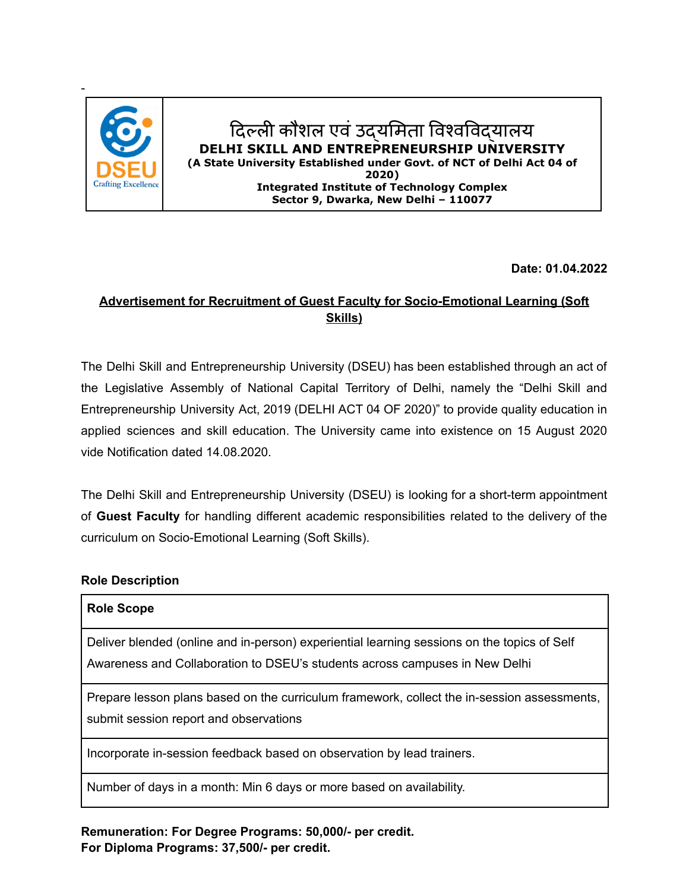

## दिल्ली कौशल एवं उद्यमिता विश्वविद्यालय **DELHI SKILL AND ENTREPRENEURSHIP UNIVERSITY (A State University Established under Govt. of NCT of Delhi Act 04 of 2020) Integrated Institute of Technology Complex Sector 9, Dwarka, New Delhi – 110077**

**Date: 01.04.2022**

# **Advertisement for Recruitment of Guest Faculty for Socio-Emotional Learning (Soft Skills)**

The Delhi Skill and Entrepreneurship University (DSEU) has been established through an act of the Legislative Assembly of National Capital Territory of Delhi, namely the "Delhi Skill and Entrepreneurship University Act, 2019 (DELHI ACT 04 OF 2020)" to provide quality education in applied sciences and skill education. The University came into existence on 15 August 2020 vide Notification dated 14.08.2020.

The Delhi Skill and Entrepreneurship University (DSEU) is looking for a short-term appointment of **Guest Faculty** for handling different academic responsibilities related to the delivery of the curriculum on Socio-Emotional Learning (Soft Skills).

#### **Role Description**

| <b>Role Scope</b>                                                                                                                                                          |
|----------------------------------------------------------------------------------------------------------------------------------------------------------------------------|
| Deliver blended (online and in-person) experiential learning sessions on the topics of Self<br>Awareness and Collaboration to DSEU's students across campuses in New Delhi |
| Prepare lesson plans based on the curriculum framework, collect the in-session assessments,<br>submit session report and observations                                      |
| Incorporate in-session feedback based on observation by lead trainers.                                                                                                     |
| Number of days in a month: Min 6 days or more based on availability.                                                                                                       |

**Remuneration: For Degree Programs: 50,000/- per credit. For Diploma Programs: 37,500/- per credit.**